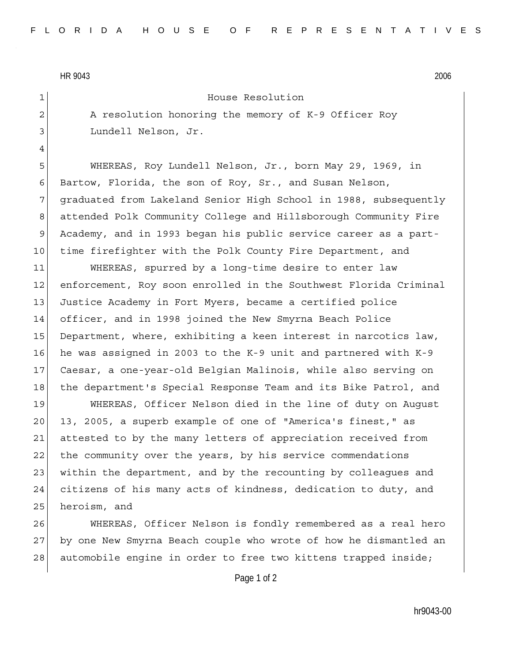HR 9043 2006

4

1 House Resolution

2 A resolution honoring the memory of K-9 Officer Roy 3 Lundell Nelson, Jr.

5 WHEREAS, Roy Lundell Nelson, Jr., born May 29, 1969, in 6 Bartow, Florida, the son of Roy, Sr., and Susan Nelson, 7 graduated from Lakeland Senior High School in 1988, subsequently 8 attended Polk Community College and Hillsborough Community Fire 9 Academy, and in 1993 began his public service career as a part-10 time firefighter with the Polk County Fire Department, and

11 WHEREAS, spurred by a long-time desire to enter law 12 enforcement, Roy soon enrolled in the Southwest Florida Criminal 13 Justice Academy in Fort Myers, became a certified police 14 officer, and in 1998 joined the New Smyrna Beach Police 15 Department, where, exhibiting a keen interest in narcotics law, 16 he was assigned in 2003 to the K-9 unit and partnered with K-9 17 Caesar, a one-year-old Belgian Malinois, while also serving on 18 the department's Special Response Team and its Bike Patrol, and

19 WHEREAS, Officer Nelson died in the line of duty on August 20 13, 2005, a superb example of one of "America's finest," as 21 attested to by the many letters of appreciation received from 22 the community over the years, by his service commendations 23 within the department, and by the recounting by colleagues and 24 citizens of his many acts of kindness, dedication to duty, and 25 heroism, and

26 WHEREAS, Officer Nelson is fondly remembered as a real hero 27 by one New Smyrna Beach couple who wrote of how he dismantled an 28 automobile engine in order to free two kittens trapped inside;

Page 1 of 2